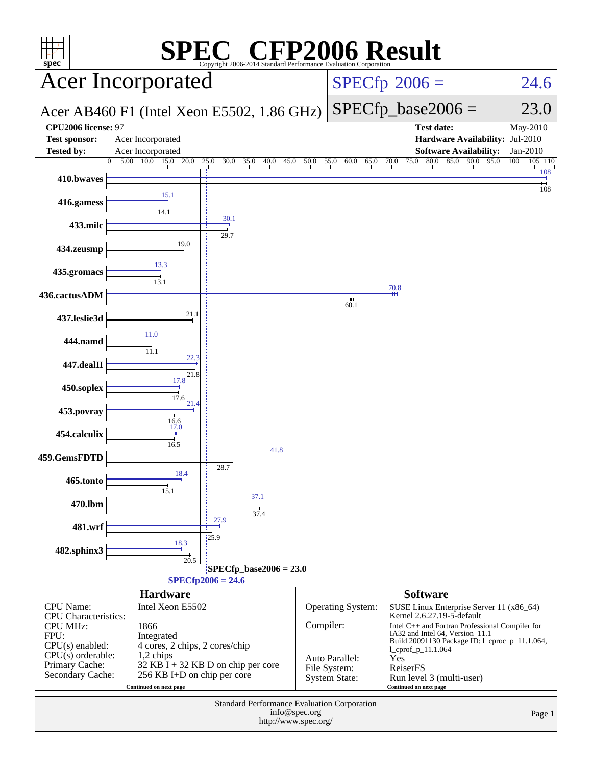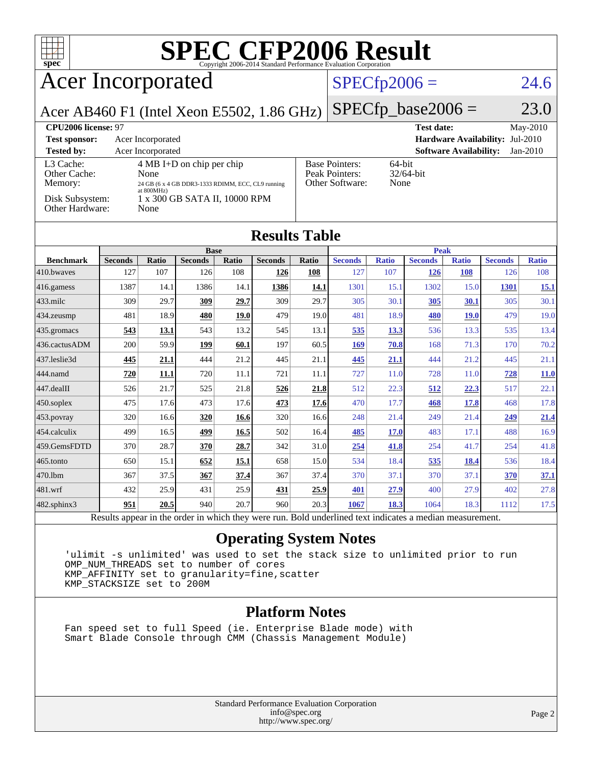

Results appear in the [order in which they were run.](http://www.spec.org/auto/cpu2006/Docs/result-fields.html#RunOrder) Bold underlined text [indicates a median measurement.](http://www.spec.org/auto/cpu2006/Docs/result-fields.html#Median)

#### **[Operating System Notes](http://www.spec.org/auto/cpu2006/Docs/result-fields.html#OperatingSystemNotes)**

[482.sphinx3](http://www.spec.org/auto/cpu2006/Docs/482.sphinx3.html) **[951](http://www.spec.org/auto/cpu2006/Docs/result-fields.html#Median) [20.5](http://www.spec.org/auto/cpu2006/Docs/result-fields.html#Median)** 940 20.7 960 20.3 **[1067](http://www.spec.org/auto/cpu2006/Docs/result-fields.html#Median) [18.3](http://www.spec.org/auto/cpu2006/Docs/result-fields.html#Median)** 1064 18.3 1112 17.5

 'ulimit -s unlimited' was used to set the stack size to unlimited prior to run OMP NUM THREADS set to number of cores KMP\_AFFINITY set to granularity=fine,scatter KMP\_STACKSIZE set to 200M

#### **[Platform Notes](http://www.spec.org/auto/cpu2006/Docs/result-fields.html#PlatformNotes)**

 Fan speed set to full Speed (ie. Enterprise Blade mode) with Smart Blade Console through CMM (Chassis Management Module)

> Standard Performance Evaluation Corporation [info@spec.org](mailto:info@spec.org) <http://www.spec.org/>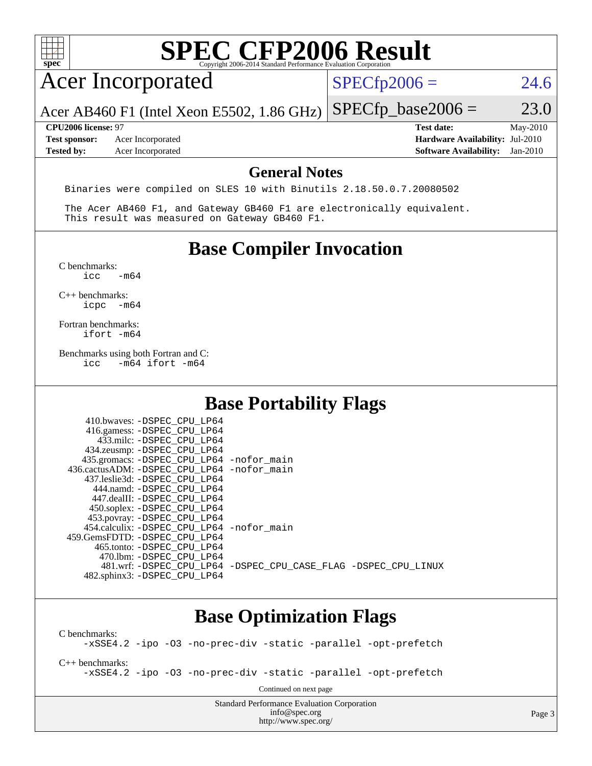| <b>SPEC CFP2006 Result</b><br>$spec^*$                                                                                  |                                                                                                                 |  |  |  |
|-------------------------------------------------------------------------------------------------------------------------|-----------------------------------------------------------------------------------------------------------------|--|--|--|
| <b>Acer Incorporated</b>                                                                                                | $SPECfp2006 =$<br>24.6                                                                                          |  |  |  |
| Acer AB460 F1 (Intel Xeon E5502, 1.86 GHz)                                                                              | 23.0<br>$SPECfp\_base2006 =$                                                                                    |  |  |  |
| <b>CPU2006 license: 97</b><br><b>Test sponsor:</b><br>Acer Incorporated<br><b>Tested by:</b><br>Acer Incorporated       | <b>Test date:</b><br>May-2010<br>Hardware Availability: Jul-2010<br><b>Software Availability:</b><br>$Jan-2010$ |  |  |  |
| <b>General Notes</b>                                                                                                    |                                                                                                                 |  |  |  |
| Binaries were compiled on SLES 10 with Binutils 2.18.50.0.7.20080502                                                    |                                                                                                                 |  |  |  |
| The Acer AB460 F1, and Gateway GB460 F1 are electronically equivalent.<br>This result was measured on Gateway GB460 F1. |                                                                                                                 |  |  |  |
| <b>Base Compiler Invocation</b>                                                                                         |                                                                                                                 |  |  |  |
| C benchmarks:<br>$-m64$<br>icc                                                                                          |                                                                                                                 |  |  |  |
| $C_{++}$ benchmarks:<br>icpc -m64                                                                                       |                                                                                                                 |  |  |  |
| Fortran benchmarks:<br>ifort -m64                                                                                       |                                                                                                                 |  |  |  |
| Benchmarks using both Fortran and C:<br>$-m64$ ifort $-m64$<br>icc                                                      |                                                                                                                 |  |  |  |
| <b>Base Portability Flags</b>                                                                                           |                                                                                                                 |  |  |  |
| 410.bwaves: -DSPEC_CPU_LP64                                                                                             |                                                                                                                 |  |  |  |
| 416.gamess: -DSPEC_CPU_LP64<br>433.milc: -DSPEC_CPU_LP64                                                                |                                                                                                                 |  |  |  |
| 434.zeusmp: - DSPEC_CPU_LP64<br>435.gromacs: -DSPEC_CPU_LP64 -nofor_main                                                |                                                                                                                 |  |  |  |
| 436.cactusADM: -DSPEC_CPU_LP64 -nofor_main                                                                              |                                                                                                                 |  |  |  |
| 437.leslie3d: -DSPEC_CPU_LP64<br>444.namd: -DSPEC_CPU_LP64                                                              |                                                                                                                 |  |  |  |
| 447.dealII: -DSPEC_CPU_LP64                                                                                             |                                                                                                                 |  |  |  |
| 450.soplex: -DSPEC_CPU_LP64<br>453.povray: - DSPEC CPU LP64                                                             |                                                                                                                 |  |  |  |
| 454.calculix: -DSPEC_CPU_LP64 -nofor_main                                                                               |                                                                                                                 |  |  |  |
| 459.GemsFDTD: -DSPEC_CPU_LP64<br>465.tonto: -DSPEC_CPU_LP64                                                             |                                                                                                                 |  |  |  |
| 470.1bm: - DSPEC_CPU_LP64<br>481.wrf: -DSPEC_CPU_LP64 -DSPEC_CPU_CASE_FLAG -DSPEC_CPU_LINUX                             |                                                                                                                 |  |  |  |
| 482.sphinx3: -DSPEC_CPU_LP64                                                                                            |                                                                                                                 |  |  |  |
| <b>Base Optimization Flags</b>                                                                                          |                                                                                                                 |  |  |  |
| C benchmarks:<br>-xSSE4.2 -ipo -03 -no-prec-div -static -parallel -opt-prefetch                                         |                                                                                                                 |  |  |  |
| $C++$ benchmarks:<br>-xSSE4.2 -ipo -03 -no-prec-div -static -parallel -opt-prefetch                                     |                                                                                                                 |  |  |  |

Continued on next page

Standard Performance Evaluation Corporation [info@spec.org](mailto:info@spec.org) <http://www.spec.org/>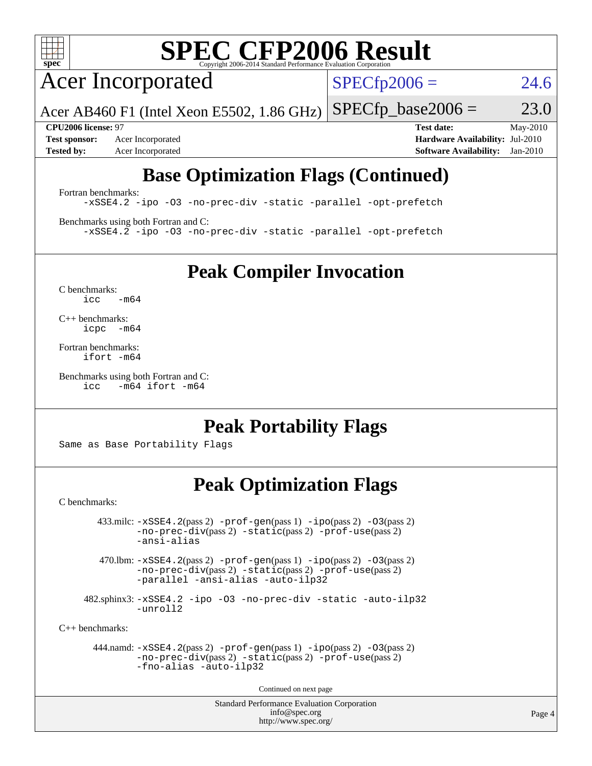

# **[SPEC CFP2006 Result](http://www.spec.org/auto/cpu2006/Docs/result-fields.html#SPECCFP2006Result)**

Acer Incorporated

 $SPECfp2006 = 24.6$  $SPECfp2006 = 24.6$ 

Acer AB460 F1 (Intel Xeon E5502, 1.86 GHz)  $SPECTp\_base2006 = 23.0$ 

**[Test sponsor:](http://www.spec.org/auto/cpu2006/Docs/result-fields.html#Testsponsor)** Acer Incorporated **[Hardware Availability:](http://www.spec.org/auto/cpu2006/Docs/result-fields.html#HardwareAvailability)** Jul-2010

**[CPU2006 license:](http://www.spec.org/auto/cpu2006/Docs/result-fields.html#CPU2006license)** 97 **[Test date:](http://www.spec.org/auto/cpu2006/Docs/result-fields.html#Testdate)** May-2010 **[Tested by:](http://www.spec.org/auto/cpu2006/Docs/result-fields.html#Testedby)** Acer Incorporated **[Software Availability:](http://www.spec.org/auto/cpu2006/Docs/result-fields.html#SoftwareAvailability)** Jan-2010

## **[Base Optimization Flags \(Continued\)](http://www.spec.org/auto/cpu2006/Docs/result-fields.html#BaseOptimizationFlags)**

[Fortran benchmarks](http://www.spec.org/auto/cpu2006/Docs/result-fields.html#Fortranbenchmarks):

[-xSSE4.2](http://www.spec.org/cpu2006/results/res2010q3/cpu2006-20100608-11658.flags.html#user_FCbase_f-xSSE42_f91528193cf0b216347adb8b939d4107) [-ipo](http://www.spec.org/cpu2006/results/res2010q3/cpu2006-20100608-11658.flags.html#user_FCbase_f-ipo) [-O3](http://www.spec.org/cpu2006/results/res2010q3/cpu2006-20100608-11658.flags.html#user_FCbase_f-O3) [-no-prec-div](http://www.spec.org/cpu2006/results/res2010q3/cpu2006-20100608-11658.flags.html#user_FCbase_f-no-prec-div) [-static](http://www.spec.org/cpu2006/results/res2010q3/cpu2006-20100608-11658.flags.html#user_FCbase_f-static) [-parallel](http://www.spec.org/cpu2006/results/res2010q3/cpu2006-20100608-11658.flags.html#user_FCbase_f-parallel) [-opt-prefetch](http://www.spec.org/cpu2006/results/res2010q3/cpu2006-20100608-11658.flags.html#user_FCbase_f-opt-prefetch)

[Benchmarks using both Fortran and C](http://www.spec.org/auto/cpu2006/Docs/result-fields.html#BenchmarksusingbothFortranandC): [-xSSE4.2](http://www.spec.org/cpu2006/results/res2010q3/cpu2006-20100608-11658.flags.html#user_CC_FCbase_f-xSSE42_f91528193cf0b216347adb8b939d4107) [-ipo](http://www.spec.org/cpu2006/results/res2010q3/cpu2006-20100608-11658.flags.html#user_CC_FCbase_f-ipo) [-O3](http://www.spec.org/cpu2006/results/res2010q3/cpu2006-20100608-11658.flags.html#user_CC_FCbase_f-O3) [-no-prec-div](http://www.spec.org/cpu2006/results/res2010q3/cpu2006-20100608-11658.flags.html#user_CC_FCbase_f-no-prec-div) [-static](http://www.spec.org/cpu2006/results/res2010q3/cpu2006-20100608-11658.flags.html#user_CC_FCbase_f-static) [-parallel](http://www.spec.org/cpu2006/results/res2010q3/cpu2006-20100608-11658.flags.html#user_CC_FCbase_f-parallel) [-opt-prefetch](http://www.spec.org/cpu2006/results/res2010q3/cpu2006-20100608-11658.flags.html#user_CC_FCbase_f-opt-prefetch)

**[Peak Compiler Invocation](http://www.spec.org/auto/cpu2006/Docs/result-fields.html#PeakCompilerInvocation)**

[C benchmarks](http://www.spec.org/auto/cpu2006/Docs/result-fields.html#Cbenchmarks):  $icc$   $-m64$ 

[C++ benchmarks:](http://www.spec.org/auto/cpu2006/Docs/result-fields.html#CXXbenchmarks) [icpc -m64](http://www.spec.org/cpu2006/results/res2010q3/cpu2006-20100608-11658.flags.html#user_CXXpeak_intel_icpc_64bit_bedb90c1146cab66620883ef4f41a67e)

[Fortran benchmarks](http://www.spec.org/auto/cpu2006/Docs/result-fields.html#Fortranbenchmarks): [ifort -m64](http://www.spec.org/cpu2006/results/res2010q3/cpu2006-20100608-11658.flags.html#user_FCpeak_intel_ifort_64bit_ee9d0fb25645d0210d97eb0527dcc06e)

[Benchmarks using both Fortran and C](http://www.spec.org/auto/cpu2006/Docs/result-fields.html#BenchmarksusingbothFortranandC): [icc -m64](http://www.spec.org/cpu2006/results/res2010q3/cpu2006-20100608-11658.flags.html#user_CC_FCpeak_intel_icc_64bit_0b7121f5ab7cfabee23d88897260401c) [ifort -m64](http://www.spec.org/cpu2006/results/res2010q3/cpu2006-20100608-11658.flags.html#user_CC_FCpeak_intel_ifort_64bit_ee9d0fb25645d0210d97eb0527dcc06e)

### **[Peak Portability Flags](http://www.spec.org/auto/cpu2006/Docs/result-fields.html#PeakPortabilityFlags)**

Same as Base Portability Flags

## **[Peak Optimization Flags](http://www.spec.org/auto/cpu2006/Docs/result-fields.html#PeakOptimizationFlags)**

[C benchmarks](http://www.spec.org/auto/cpu2006/Docs/result-fields.html#Cbenchmarks):

 $433 \text{.}$ milc:  $-xSSE4$ .  $2(pass 2)$  - $prof-gen(pass 1)$  - $ipo(pass 2)$  [-O3](http://www.spec.org/cpu2006/results/res2010q3/cpu2006-20100608-11658.flags.html#user_peakPASS2_CFLAGSPASS2_LDFLAGS433_milc_f-O3) $(pass 2)$ [-no-prec-div](http://www.spec.org/cpu2006/results/res2010q3/cpu2006-20100608-11658.flags.html#user_peakPASS2_CFLAGSPASS2_LDFLAGS433_milc_f-no-prec-div)(pass 2) [-static](http://www.spec.org/cpu2006/results/res2010q3/cpu2006-20100608-11658.flags.html#user_peakPASS2_CFLAGSPASS2_LDFLAGS433_milc_f-static)(pass 2) [-prof-use](http://www.spec.org/cpu2006/results/res2010q3/cpu2006-20100608-11658.flags.html#user_peakPASS2_CFLAGSPASS2_LDFLAGS433_milc_prof_use_bccf7792157ff70d64e32fe3e1250b55)(pass 2) [-ansi-alias](http://www.spec.org/cpu2006/results/res2010q3/cpu2006-20100608-11658.flags.html#user_peakOPTIMIZE433_milc_f-ansi-alias)

470.lbm:  $-xSSE4$ . 2(pass 2)  $-prof-gen(pass 1) -ipo(pass 2) -O3(pass 2)$  $-prof-gen(pass 1) -ipo(pass 2) -O3(pass 2)$  $-prof-gen(pass 1) -ipo(pass 2) -O3(pass 2)$  $-prof-gen(pass 1) -ipo(pass 2) -O3(pass 2)$  $-prof-gen(pass 1) -ipo(pass 2) -O3(pass 2)$  $-prof-gen(pass 1) -ipo(pass 2) -O3(pass 2)$ [-no-prec-div](http://www.spec.org/cpu2006/results/res2010q3/cpu2006-20100608-11658.flags.html#user_peakPASS2_CFLAGSPASS2_LDFLAGS470_lbm_f-no-prec-div)(pass 2) [-static](http://www.spec.org/cpu2006/results/res2010q3/cpu2006-20100608-11658.flags.html#user_peakPASS2_CFLAGSPASS2_LDFLAGS470_lbm_f-static)(pass 2) [-prof-use](http://www.spec.org/cpu2006/results/res2010q3/cpu2006-20100608-11658.flags.html#user_peakPASS2_CFLAGSPASS2_LDFLAGS470_lbm_prof_use_bccf7792157ff70d64e32fe3e1250b55)(pass 2) [-parallel](http://www.spec.org/cpu2006/results/res2010q3/cpu2006-20100608-11658.flags.html#user_peakOPTIMIZE470_lbm_f-parallel) [-ansi-alias](http://www.spec.org/cpu2006/results/res2010q3/cpu2006-20100608-11658.flags.html#user_peakOPTIMIZE470_lbm_f-ansi-alias) [-auto-ilp32](http://www.spec.org/cpu2006/results/res2010q3/cpu2006-20100608-11658.flags.html#user_peakCOPTIMIZE470_lbm_f-auto-ilp32)

 482.sphinx3: [-xSSE4.2](http://www.spec.org/cpu2006/results/res2010q3/cpu2006-20100608-11658.flags.html#user_peakOPTIMIZE482_sphinx3_f-xSSE42_f91528193cf0b216347adb8b939d4107) [-ipo](http://www.spec.org/cpu2006/results/res2010q3/cpu2006-20100608-11658.flags.html#user_peakOPTIMIZE482_sphinx3_f-ipo) [-O3](http://www.spec.org/cpu2006/results/res2010q3/cpu2006-20100608-11658.flags.html#user_peakOPTIMIZE482_sphinx3_f-O3) [-no-prec-div](http://www.spec.org/cpu2006/results/res2010q3/cpu2006-20100608-11658.flags.html#user_peakOPTIMIZE482_sphinx3_f-no-prec-div) [-static](http://www.spec.org/cpu2006/results/res2010q3/cpu2006-20100608-11658.flags.html#user_peakOPTIMIZE482_sphinx3_f-static) [-auto-ilp32](http://www.spec.org/cpu2006/results/res2010q3/cpu2006-20100608-11658.flags.html#user_peakCOPTIMIZE482_sphinx3_f-auto-ilp32) [-unroll2](http://www.spec.org/cpu2006/results/res2010q3/cpu2006-20100608-11658.flags.html#user_peakCOPTIMIZE482_sphinx3_f-unroll_784dae83bebfb236979b41d2422d7ec2)

[C++ benchmarks:](http://www.spec.org/auto/cpu2006/Docs/result-fields.html#CXXbenchmarks)

```
 444.namd: -xSSE4.2(pass 2) -prof-gen(pass 1) -ipo(pass 2) -O3(pass 2)
-no-prec-div(pass 2) -static(pass 2) -prof-use(pass 2)
-fno-alias -auto-ilp32
```
Continued on next page

Standard Performance Evaluation Corporation [info@spec.org](mailto:info@spec.org) <http://www.spec.org/>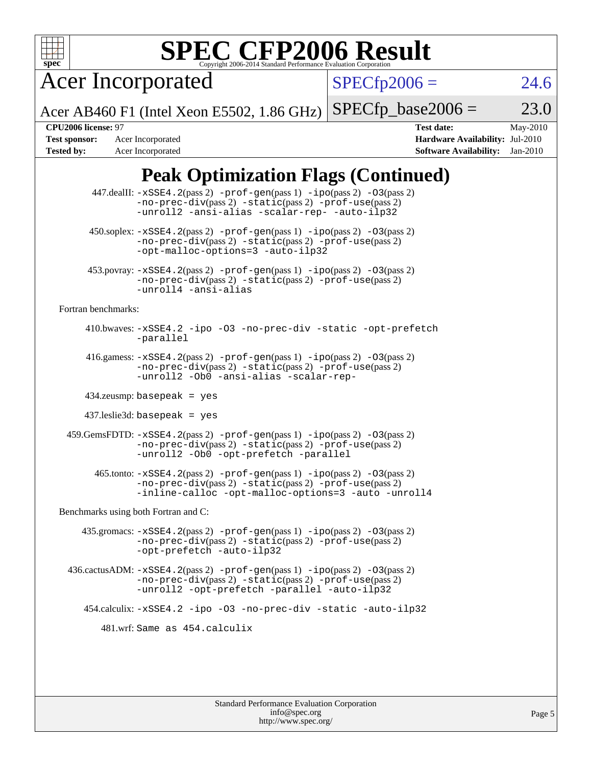

# **[SPEC CFP2006 Result](http://www.spec.org/auto/cpu2006/Docs/result-fields.html#SPECCFP2006Result)**

Acer Incorporated

 $SPECfp2006 = 24.6$  $SPECfp2006 = 24.6$ 

Acer AB460 F1 (Intel Xeon E5502, 1.86 GHz)  $SPECfp\_base2006 = 23.0$ 

**[Tested by:](http://www.spec.org/auto/cpu2006/Docs/result-fields.html#Testedby)** Acer Incorporated **[Software Availability:](http://www.spec.org/auto/cpu2006/Docs/result-fields.html#SoftwareAvailability)** Jan-2010

**[CPU2006 license:](http://www.spec.org/auto/cpu2006/Docs/result-fields.html#CPU2006license)** 97 **[Test date:](http://www.spec.org/auto/cpu2006/Docs/result-fields.html#Testdate)** May-2010 **[Test sponsor:](http://www.spec.org/auto/cpu2006/Docs/result-fields.html#Testsponsor)** Acer Incorporated **[Hardware Availability:](http://www.spec.org/auto/cpu2006/Docs/result-fields.html#HardwareAvailability)** Jul-2010

## **[Peak Optimization Flags \(Continued\)](http://www.spec.org/auto/cpu2006/Docs/result-fields.html#PeakOptimizationFlags)**

|                                      | 447.dealII: -xSSE4.2(pass 2) -prof-gen(pass 1) -ipo(pass 2) -03(pass 2)<br>-no-prec-div(pass 2) -static(pass 2) -prof-use(pass 2)<br>-unroll2 -ansi-alias -scalar-rep- -auto-ilp32                                            |  |  |
|--------------------------------------|-------------------------------------------------------------------------------------------------------------------------------------------------------------------------------------------------------------------------------|--|--|
|                                      | 450.soplex: $-xSSE4$ . 2(pass 2) -prof-gen(pass 1) -ipo(pass 2) -03(pass 2)<br>-no-prec-div(pass 2) -static(pass 2) -prof-use(pass 2)<br>-opt-malloc-options=3 -auto-ilp32                                                    |  |  |
|                                      | $453.$ povray: $-xSSE4.2(pass 2) -prof-gen(pass 1) -ipo(pass 2) -O3(pass 2)$<br>$-no-prec-div(pass 2) -static(pass 2) -prof-use(pass 2)$<br>-unroll4 -ansi-alias                                                              |  |  |
| Fortran benchmarks:                  |                                                                                                                                                                                                                               |  |  |
|                                      | 410.bwaves: -xSSE4.2 -ipo -03 -no-prec-div -static -opt-prefetch<br>-parallel                                                                                                                                                 |  |  |
|                                      | 416.gamess: $-xSSE4$ . $2(pass 2)$ -prof-gen(pass 1) -ipo(pass 2) -03(pass 2)<br>-no-prec-div(pass 2) -static(pass 2) -prof-use(pass 2)<br>-unroll2 - ObO -ansi-alias -scalar-rep-                                            |  |  |
|                                      | $434$ .zeusmp: basepeak = yes                                                                                                                                                                                                 |  |  |
|                                      | $437$ .leslie3d: basepeak = yes                                                                                                                                                                                               |  |  |
|                                      | $459. \text{GemsFDTD: } -x \text{SSE4}.2(\text{pass 2}) - \text{prof-gen(pass 1)} - \text{ipo(pass 2)} -03(\text{pass 2})$<br>-no-prec-div(pass 2) -static(pass 2) -prof-use(pass 2)<br>-unroll2 -Ob0 -opt-prefetch -parallel |  |  |
|                                      | 465.tonto: -xSSE4.2(pass 2) -prof-gen(pass 1) -ipo(pass 2) -03(pass 2)<br>-no-prec-div(pass 2) -static(pass 2) -prof-use(pass 2)<br>-inline-calloc -opt-malloc-options=3 -auto -unroll4                                       |  |  |
| Benchmarks using both Fortran and C: |                                                                                                                                                                                                                               |  |  |
|                                      | 435.gromacs: -xSSE4.2(pass 2) -prof-gen(pass 1) -ipo(pass 2) -03(pass 2)<br>-no-prec-div(pass 2) -static(pass 2) -prof-use(pass 2)<br>-opt-prefetch -auto-ilp32                                                               |  |  |
|                                      | 436.cactusADM: -xSSE4.2(pass 2) -prof-gen(pass 1) -ipo(pass 2) -03(pass 2)<br>-no-prec-div(pass 2) -static(pass 2) -prof-use(pass 2)<br>-unroll2 -opt-prefetch -parallel -auto-ilp32                                          |  |  |
|                                      | 454.calculix: -xSSE4.2 -ipo -03 -no-prec-div -static -auto-ilp32                                                                                                                                                              |  |  |
| 481.wrf: Same as 454.calculix        |                                                                                                                                                                                                                               |  |  |
|                                      |                                                                                                                                                                                                                               |  |  |
|                                      |                                                                                                                                                                                                                               |  |  |